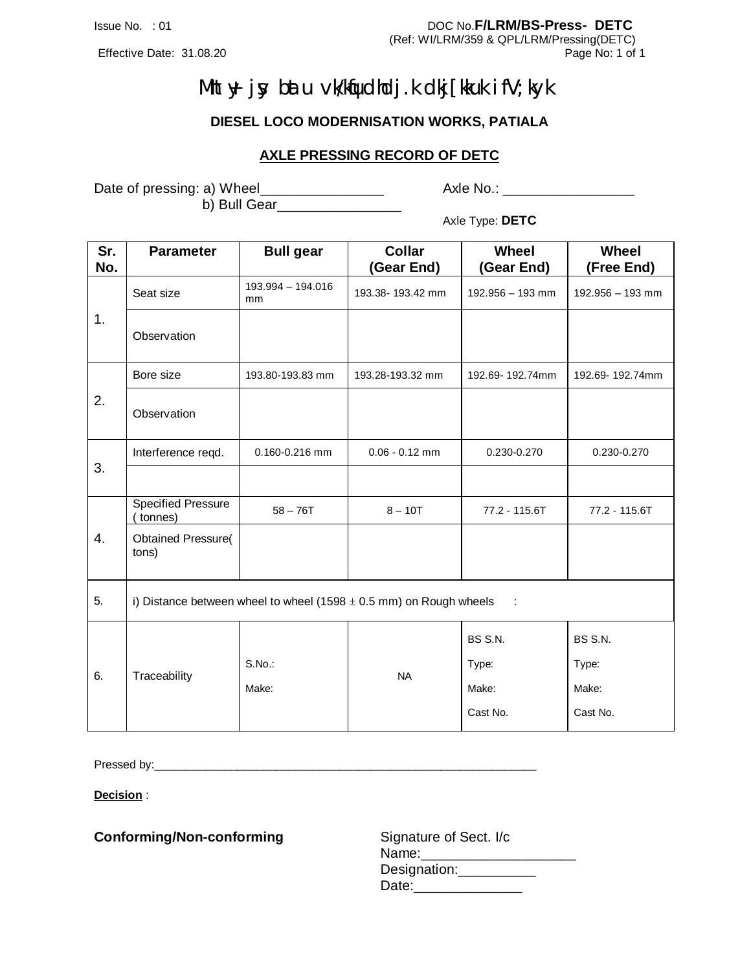Effective Date: 31.08.20

Issue No. : 01 DOC No.**F/LRM/BS-Press- DETC**

(Ref: WI/LRM/359 & QPL/LRM/Pressing(DETC)

# **Mht +y j y blau vk/klqudhdj.k dlij [ kkuk i fV; kyk**

**DIESEL LOCO MODERNISATION WORKS, PATIALA**

#### **AXLE PRESSING RECORD OF DETC**

Date of pressing: a) Wheel\_\_\_\_\_\_\_\_\_\_\_\_\_\_\_\_ b) Bull Gear\_\_\_\_\_\_\_\_\_\_\_\_\_\_\_\_ Axle No.: \_\_\_\_\_\_\_\_\_\_\_\_\_\_\_\_\_\_\_\_

Axle Type: **DETC**

| Sr.<br>No. | <b>Parameter</b>                     | <b>Bull gear</b>        | <b>Collar</b><br>(Gear End)                                            | Wheel<br>(Gear End) | Wheel<br>(Free End) |
|------------|--------------------------------------|-------------------------|------------------------------------------------------------------------|---------------------|---------------------|
|            | Seat size                            | 193.994 - 194.016<br>mm | 193.38-193.42 mm                                                       | $192.956 - 193$ mm  | $192.956 - 193$ mm  |
| 1.         | Observation                          |                         |                                                                        |                     |                     |
|            | Bore size                            | 193.80-193.83 mm        | 193.28-193.32 mm                                                       | 192.69-192.74mm     | 192.69-192.74mm     |
| 2.         | Observation                          |                         |                                                                        |                     |                     |
|            | Interference regd.                   | 0.160-0.216 mm          | $0.06 - 0.12$ mm                                                       | 0.230-0.270         | 0.230-0.270         |
| 3.         |                                      |                         |                                                                        |                     |                     |
|            | <b>Specified Pressure</b><br>tonnes) | $58 - 76T$              | $8 - 10T$                                                              | 77.2 - 115.6T       | 77.2 - 115.6T       |
| 4.         | <b>Obtained Pressure(</b><br>tons)   |                         |                                                                        |                     |                     |
| 5.         |                                      |                         | i) Distance between wheel to wheel (1598 $\pm$ 0.5 mm) on Rough wheels | ÷                   |                     |
|            |                                      |                         |                                                                        | BS S.N.             | BS S.N.             |
|            |                                      | S.No.:                  |                                                                        | Type:               | Type:               |
| 6.         | Traceability                         | Make:                   | <b>NA</b>                                                              | Make:               | Make:               |
|            |                                      |                         |                                                                        | Cast No.            | Cast No.            |

Pressed by:\_\_\_\_\_\_\_\_\_\_\_\_\_\_\_\_\_\_\_\_\_\_\_\_\_\_\_\_\_\_\_\_\_\_\_\_\_\_\_\_\_\_\_\_\_\_\_\_\_\_\_\_\_\_\_\_\_\_\_\_

**Decision** :

**Conforming/Non-conforming** 

| Signature of Sect. I/c |
|------------------------|
| Name:                  |
| Designation:           |
| Date:                  |
|                        |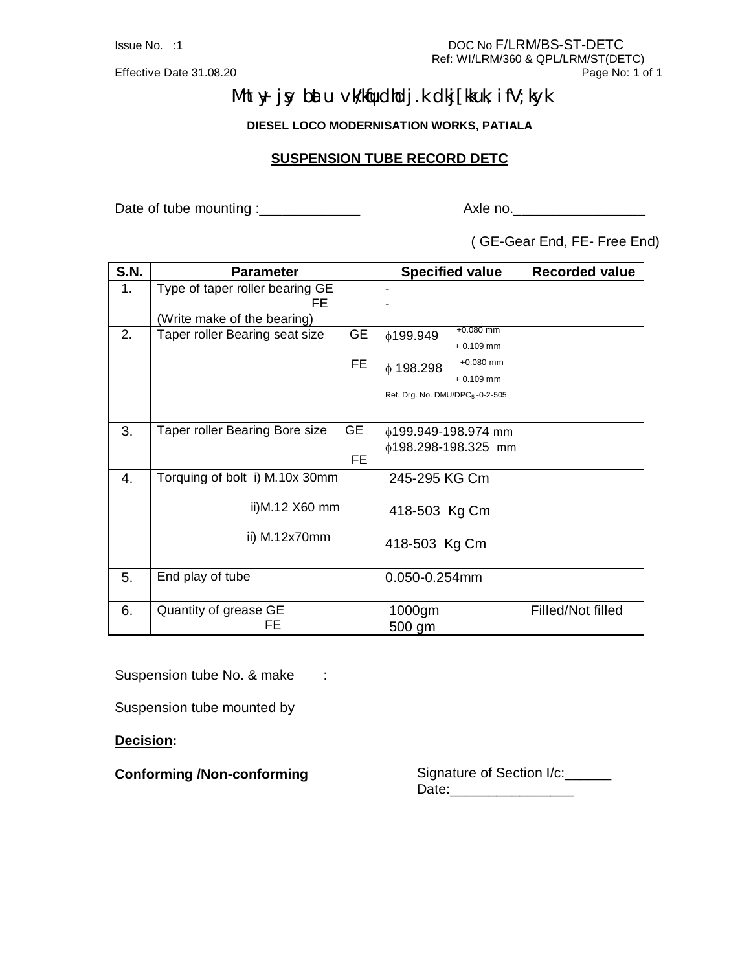Effective Date 31.08.20

## **Mht +y j sy bat u vk/kqfudhdj .k dkj [ kkuk, i fV; kyk**

**DIESEL LOCO MODERNISATION WORKS, PATIALA**

#### **SUSPENSION TUBE RECORD DETC**

Date of tube mounting :\_\_\_\_\_\_\_\_\_\_\_\_\_ Axle no.\_\_\_\_\_\_\_\_\_\_\_\_\_\_\_\_\_

( GE-Gear End, FE- Free End)

| S.N. | <b>Parameter</b>                            | <b>Specified value</b>                      | <b>Recorded value</b> |
|------|---------------------------------------------|---------------------------------------------|-----------------------|
| 1.   | Type of taper roller bearing GE             |                                             |                       |
|      | FE                                          |                                             |                       |
|      | (Write make of the bearing)                 |                                             |                       |
| 2.   | <b>GE</b><br>Taper roller Bearing seat size | $+0.080$ mm<br>ϕ199.949                     |                       |
|      |                                             | $+0.109$ mm                                 |                       |
|      | FE                                          | $+0.080$ mm<br>$\phi$ 198.298               |                       |
|      |                                             | $+0.109$ mm                                 |                       |
|      |                                             | Ref. Drg. No. DMU/DPC <sub>5</sub> -0-2-505 |                       |
|      |                                             |                                             |                       |
| 3.   | <b>GE</b><br>Taper roller Bearing Bore size | $¢199.949-198.974$ mm                       |                       |
|      |                                             | $¢198.298-198.325$ mm                       |                       |
|      | FE.                                         |                                             |                       |
| 4.   | Torquing of bolt i) M.10x 30mm              | 245-295 KG Cm                               |                       |
|      |                                             |                                             |                       |
|      | ii)M.12 X60 mm                              | 418-503 Kg Cm                               |                       |
|      |                                             |                                             |                       |
|      | ii) M.12x70mm                               | 418-503 Kg Cm                               |                       |
|      |                                             |                                             |                       |
| 5.   | End play of tube                            | 0.050-0.254mm                               |                       |
|      |                                             |                                             |                       |
| 6.   | Quantity of grease GE                       | 1000gm                                      | Filled/Not filled     |
|      | FE                                          | 500 gm                                      |                       |

Suspension tube No. & make :

Suspension tube mounted by

**Decision:**

**Conforming /Non-conforming** Signature of Section I/c:\_\_\_\_\_\_ Date:\_\_\_\_\_\_\_\_\_\_\_\_\_\_\_\_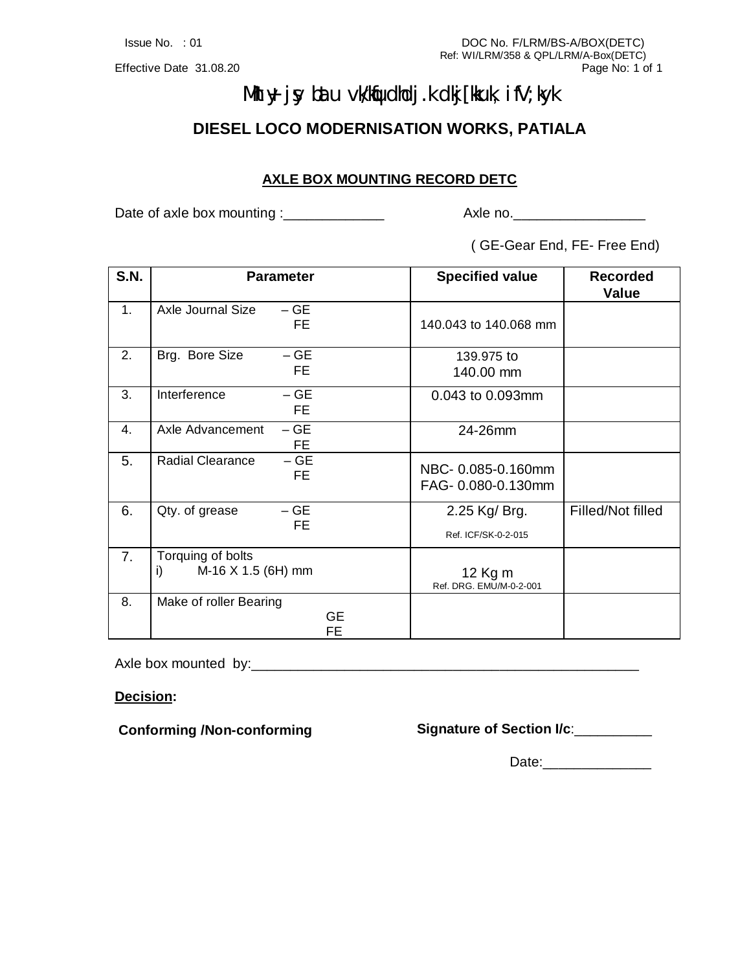# **Mhy j y bau vklindhij.k dij [ikuk i fV; kyk**

**DIESEL LOCO MODERNISATION WORKS, PATIALA**

### **AXLE BOX MOUNTING RECORD DETC**

Date of axle box mounting :\_\_\_\_\_\_\_\_\_\_\_\_\_ Axle no.\_\_\_\_\_\_\_\_\_\_\_\_\_\_\_\_\_

( GE-Gear End, FE- Free End)

| <b>S.N.</b> | <b>Parameter</b>                              | <b>Specified value</b>                  | <b>Recorded</b><br>Value |
|-------------|-----------------------------------------------|-----------------------------------------|--------------------------|
| 1.          | Axle Journal Size<br>$- GE$<br>FE.            | 140.043 to 140.068 mm                   |                          |
| 2.          | $-GE$<br>Brg. Bore Size<br>FE.                | 139.975 to<br>140.00 mm                 |                          |
| 3.          | $-GE$<br>Interference<br>FE.                  | 0.043 to 0.093mm                        |                          |
| 4.          | $-GE$<br>Axle Advancement<br>FE.              | 24-26mm                                 |                          |
| 5.          | $-GE$<br><b>Radial Clearance</b><br>FE.       | NBC-0.085-0.160mm<br>FAG- 0.080-0.130mm |                          |
| 6.          | $- GE$<br>Qty. of grease                      | 2.25 Kg/ Brg.                           | Filled/Not filled        |
|             | FE.                                           | Ref. ICF/SK-0-2-015                     |                          |
| 7.          | Torquing of bolts<br>M-16 X 1.5 (6H) mm<br>i) | 12 Kg m<br>Ref. DRG. EMU/M-0-2-001      |                          |
| 8.          | Make of roller Bearing<br>GE<br>FE            |                                         |                          |

Axle box mounted by:\_\_\_\_\_\_\_\_\_\_\_\_\_\_\_\_\_\_\_\_\_\_\_\_\_\_\_\_\_\_\_\_\_\_\_\_\_\_\_\_\_\_\_\_\_\_\_\_\_\_

**Decision:**

**Conforming /Non-conforming Signature of Section I/c**:\_\_\_\_\_\_\_\_\_\_

Date:\_\_\_\_\_\_\_\_\_\_\_\_\_\_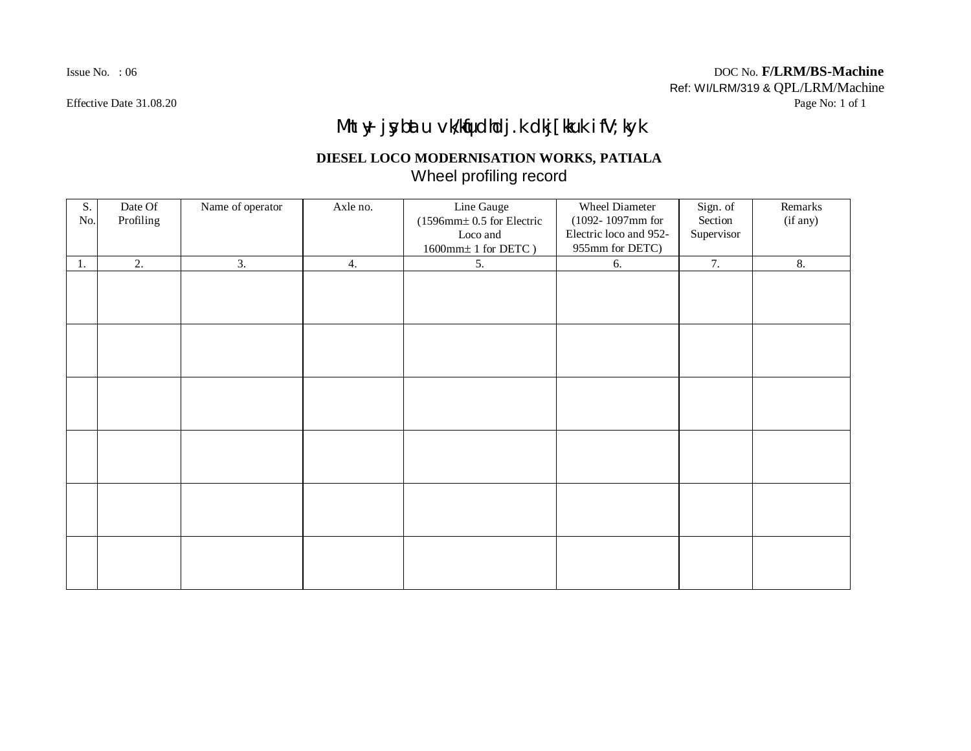# **Mht +y j y blau v k/kµd kdj.k dij [ kkuk i fV; ky k**

### **DIESEL LOCO MODERNISATION WORKS, PATIALA** Wheel profiling record

| S.<br>No. | Date Of<br>Profiling | Name of operator | Axle no. | Line Gauge<br>$(1596$ mm $\pm$ 0.5 for Electric<br>Loco and<br>$1600\text{mm}\pm1$ for DETC $)$ | <b>Wheel Diameter</b><br>$(1092 - 1097$ mm for<br>Electric loco and 952-<br>955mm for DETC) | Sign. of<br>Section<br>Supervisor | Remarks<br>(if any) |
|-----------|----------------------|------------------|----------|-------------------------------------------------------------------------------------------------|---------------------------------------------------------------------------------------------|-----------------------------------|---------------------|
| 1.        | 2.                   | 3.               | 4.       | 5.                                                                                              | 6.                                                                                          | 7.                                | 8.                  |
|           |                      |                  |          |                                                                                                 |                                                                                             |                                   |                     |
|           |                      |                  |          |                                                                                                 |                                                                                             |                                   |                     |
|           |                      |                  |          |                                                                                                 |                                                                                             |                                   |                     |
|           |                      |                  |          |                                                                                                 |                                                                                             |                                   |                     |
|           |                      |                  |          |                                                                                                 |                                                                                             |                                   |                     |
|           |                      |                  |          |                                                                                                 |                                                                                             |                                   |                     |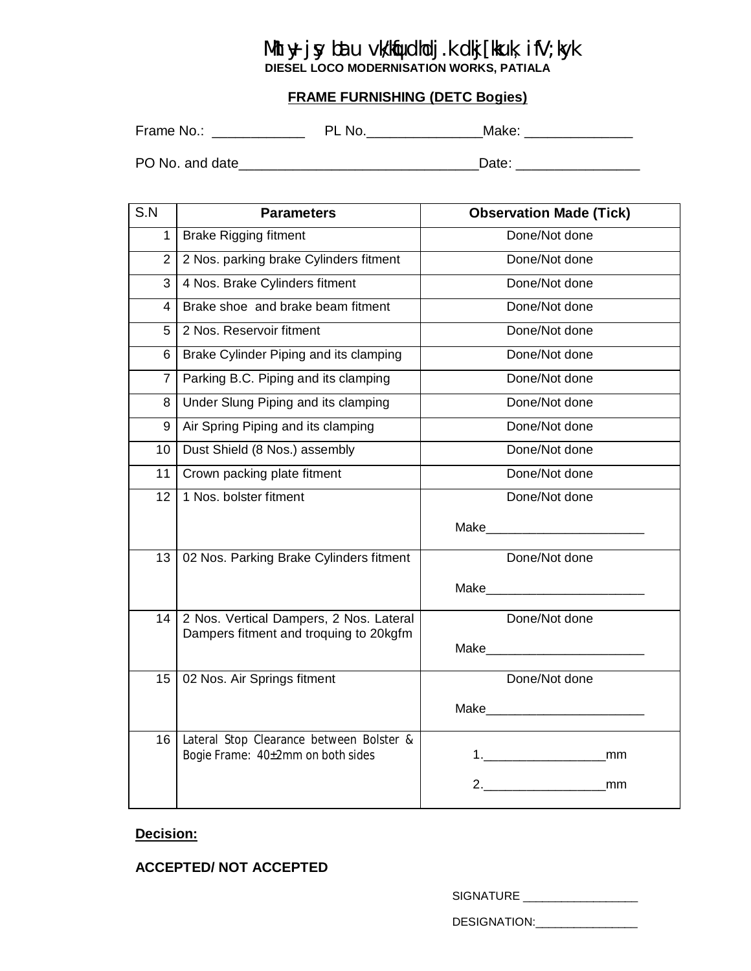# **Mht y j y bau vklipdidj.k dij [ikuk i fV; lyk**

**DIESEL LOCO MODERNISATION WORKS, PATIALA**

#### **FRAME FURNISHING (DETC Bogies)**

Frame No.: \_\_\_\_\_\_\_\_\_\_\_\_ PL No.\_\_\_\_\_\_\_\_\_\_\_\_\_\_\_Make: \_\_\_\_\_\_\_\_\_\_\_\_\_\_

PO No. and date\_\_\_\_\_\_\_\_\_\_\_\_\_\_\_\_\_\_\_\_\_\_\_\_\_\_\_\_\_\_\_Date: \_\_\_\_\_\_\_\_\_\_\_\_\_\_\_\_

| S.N            | <b>Parameters</b>                                                             | <b>Observation Made (Tick)</b>    |
|----------------|-------------------------------------------------------------------------------|-----------------------------------|
| 1              | <b>Brake Rigging fitment</b>                                                  | Done/Not done                     |
| $\overline{2}$ | 2 Nos. parking brake Cylinders fitment                                        | Done/Not done                     |
| 3              | 4 Nos. Brake Cylinders fitment                                                | Done/Not done                     |
| 4              | Brake shoe and brake beam fitment                                             | Done/Not done                     |
| 5              | 2 Nos. Reservoir fitment                                                      | Done/Not done                     |
| 6              | Brake Cylinder Piping and its clamping                                        | Done/Not done                     |
| 7              | Parking B.C. Piping and its clamping                                          | Done/Not done                     |
| 8              | Under Slung Piping and its clamping                                           | Done/Not done                     |
| 9              | Air Spring Piping and its clamping                                            | Done/Not done                     |
| 10             | Dust Shield (8 Nos.) assembly                                                 | Done/Not done                     |
| 11             | Crown packing plate fitment                                                   | Done/Not done                     |
| 12             | 1 Nos. bolster fitment                                                        | Done/Not done                     |
|                |                                                                               |                                   |
| 13             | 02 Nos. Parking Brake Cylinders fitment                                       | Done/Not done                     |
|                |                                                                               |                                   |
| 14             | 2 Nos. Vertical Dampers, 2 Nos. Lateral                                       | Done/Not done                     |
|                | Dampers fitment and troquing to 20kgfm                                        | Make_____________________________ |
|                |                                                                               | Done/Not done                     |
| 15             | 02 Nos. Air Springs fitment                                                   |                                   |
|                |                                                                               |                                   |
| 16             | Lateral Stop Clearance between Bolster &<br>Bogie Frame: 40±2mm on both sides |                                   |
|                |                                                                               |                                   |
|                |                                                                               |                                   |

#### **Decision:**

#### **ACCEPTED/ NOT ACCEPTED**

SIGNATURE \_\_\_\_\_\_\_\_\_\_\_\_\_\_\_\_\_\_\_\_\_\_

DESIGNATION:\_\_\_\_\_\_\_\_\_\_\_\_\_\_\_\_\_\_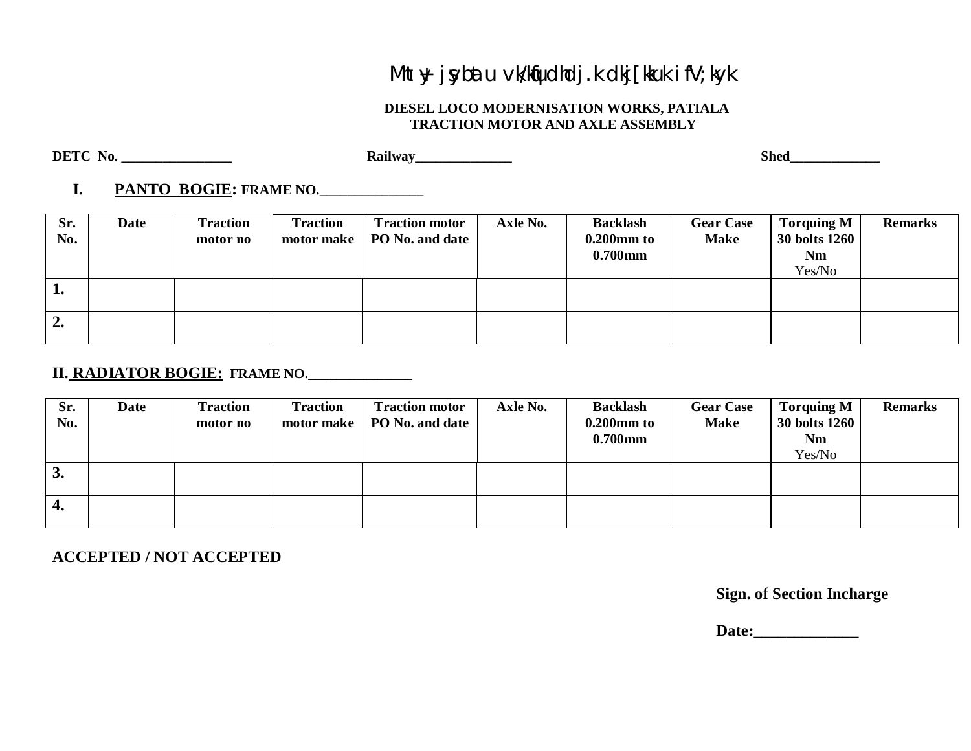# **Mht +y j y blau v k/klpd kdj.k d kj [ kuk i fV; ky k**

#### **DIESEL LOCO MODERNISATION WORKS, PATIALA TRACTION MOTOR AND AXLE ASSEMBLY**

**DETC No. \_\_\_\_\_\_\_\_\_\_\_\_\_\_\_\_ Railway\_\_\_\_\_\_\_\_\_\_\_\_\_\_ Shed\_\_\_\_\_\_\_\_\_\_\_\_\_**

### **I. PANTO BOGIE: FRAME NO.\_\_\_\_\_\_\_\_\_\_\_\_\_\_\_**

| Sr.<br>No.       | <b>Date</b> | <b>Traction</b><br>motor no | <b>Traction</b><br>motor make | <b>Traction motor</b><br>PO No. and date | Axle No. | <b>Backlash</b><br>$0.200$ mm to<br>$0.700$ mm | <b>Gear Case</b><br><b>Make</b> | <b>Torquing M</b><br><b>30 bolts 1260</b><br><b>Nm</b><br>Yes/No | <b>Remarks</b> |
|------------------|-------------|-----------------------------|-------------------------------|------------------------------------------|----------|------------------------------------------------|---------------------------------|------------------------------------------------------------------|----------------|
| 1.               |             |                             |                               |                                          |          |                                                |                                 |                                                                  |                |
| $\overline{2}$ . |             |                             |                               |                                          |          |                                                |                                 |                                                                  |                |

### **II. RADIATOR BOGIE: FRAME NO.\_\_\_\_\_\_\_\_\_\_\_\_\_\_\_**

| Sr.<br>No.         | Date | <b>Traction</b><br>motor no | <b>Traction</b><br>motor make | <b>Traction motor</b><br>PO No. and date | Axle No. | <b>Backlash</b><br>$0.200$ mm to<br>$0.700$ mm | <b>Gear Case</b><br><b>Make</b> | <b>Torquing M</b><br>30 bolts 1260<br><b>Nm</b><br>Yes/No | <b>Remarks</b> |
|--------------------|------|-----------------------------|-------------------------------|------------------------------------------|----------|------------------------------------------------|---------------------------------|-----------------------------------------------------------|----------------|
| 3.                 |      |                             |                               |                                          |          |                                                |                                 |                                                           |                |
| $\boldsymbol{4}$ . |      |                             |                               |                                          |          |                                                |                                 |                                                           |                |

**ACCEPTED / NOT ACCEPTED**

**Sign. of Section Incharge**

 **Date:\_\_\_\_\_\_\_\_\_\_\_\_\_**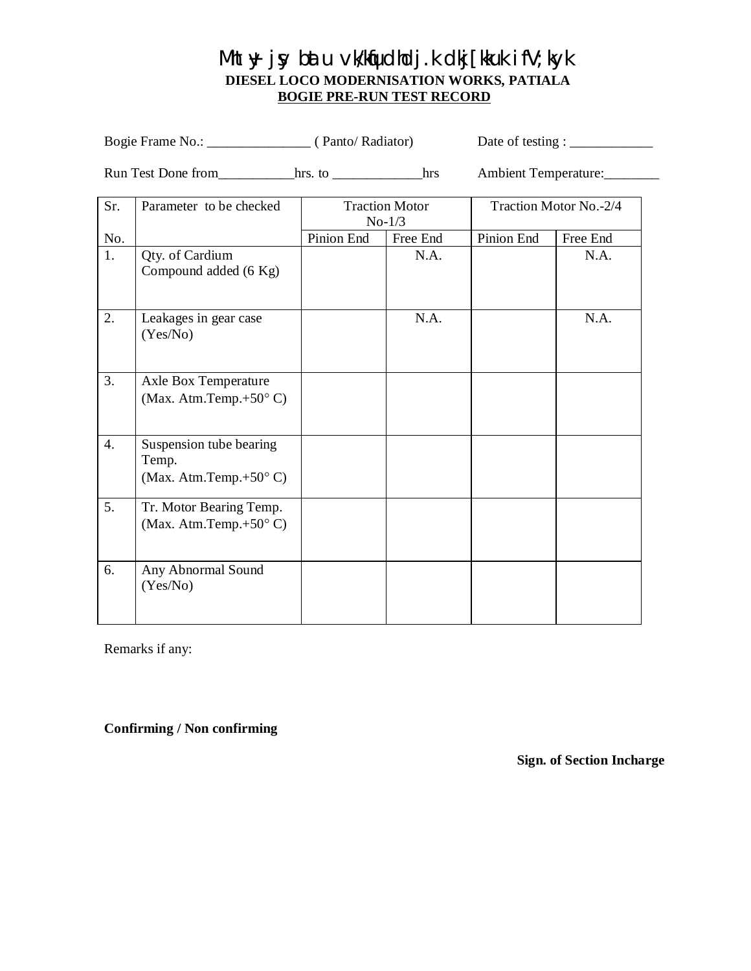### **Mh**  $\boldsymbol{y}$  j $\boldsymbol{y}$  blau vk/Kqudhdj.k dkj[kkuk ifV; kyk  **DIESEL LOCO MODERNISATION WORKS, PATIALA BOGIE PRE-RUN TEST RECORD**

Bogie Frame No.: \_\_\_\_\_\_\_\_\_\_\_\_\_\_\_ ( Panto/ Radiator) Date of testing : \_\_\_\_\_\_\_\_\_\_\_\_

Run Test Done from\_\_\_\_\_\_\_\_\_hrs. to \_\_\_\_\_\_\_\_\_\_hrs Ambient Temperature:\_\_\_\_\_\_\_\_\_\_\_

| Sr. | Parameter to be checked                                              | <b>Traction Motor</b><br>$No-1/3$ |          |            | Traction Motor No.-2/4 |
|-----|----------------------------------------------------------------------|-----------------------------------|----------|------------|------------------------|
| No. |                                                                      | Pinion End                        | Free End | Pinion End | Free End               |
| 1.  | Qty. of Cardium<br>Compound added (6 Kg)                             |                                   | N.A.     |            | N.A.                   |
| 2.  | Leakages in gear case<br>(Yes/No)                                    |                                   | N.A.     |            | N.A.                   |
| 3.  | Axle Box Temperature<br>(Max. Atm.Temp.+50 $\textdegree$ C)          |                                   |          |            |                        |
| 4.  | Suspension tube bearing<br>Temp.<br>(Max. Atm.Temp. $+50^{\circ}$ C) |                                   |          |            |                        |
| 5.  | Tr. Motor Bearing Temp.<br>(Max. Atm.Temp.+50 $\degree$ C)           |                                   |          |            |                        |
| 6.  | Any Abnormal Sound<br>(Yes/No)                                       |                                   |          |            |                        |

Remarks if any:

**Confirming / Non confirming**

**Sign. of Section Incharge**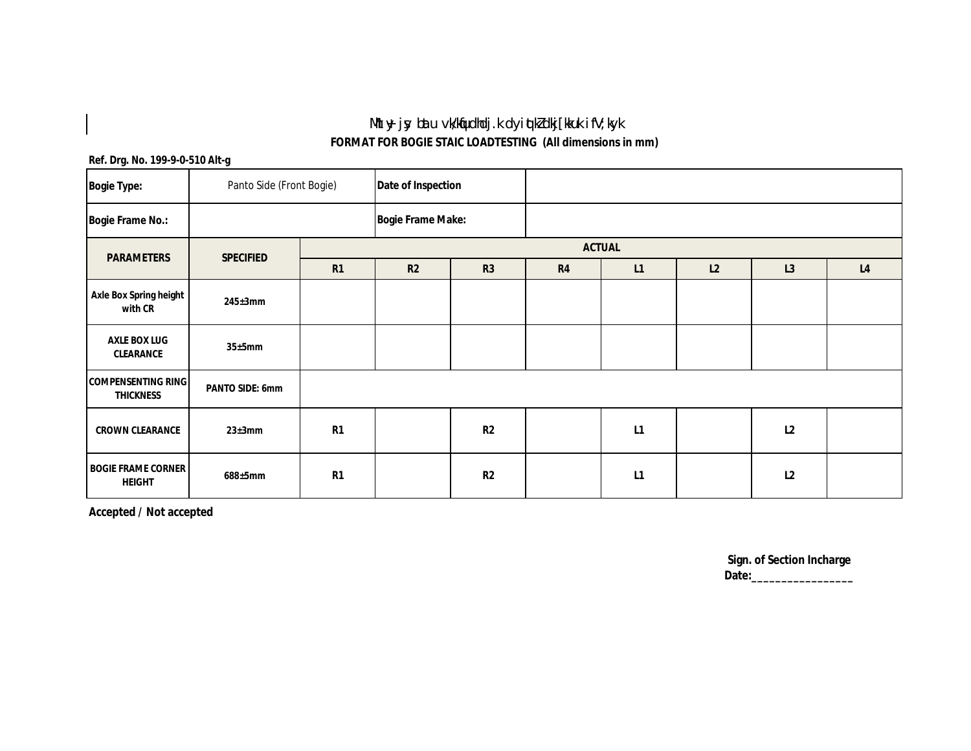## **Mhy jy bau vkKqrdkdj.k dyi qkZdkj[kuk i fV; kyk**

**FORMAT FOR BOGIE STAIC LOADTESTING (All dimensions in mm)**

#### **Ref. Drg. No. 199-9-0-510 Alt-g**

 $\begin{array}{c} \hline \end{array}$ 

| <b>Bogie Type:</b>                            | Panto Side (Front Bogie) |    | Date of Inspection       |                |    |    |    |    |                |  |
|-----------------------------------------------|--------------------------|----|--------------------------|----------------|----|----|----|----|----------------|--|
| <b>Bogie Frame No.:</b>                       |                          |    | <b>Bogie Frame Make:</b> |                |    |    |    |    |                |  |
| <b>PARAMETERS</b>                             | <b>SPECIFIED</b>         |    | <b>ACTUAL</b>            |                |    |    |    |    |                |  |
|                                               |                          | R1 | R2                       | R3             | R4 | L1 | L2 | L3 | L <sub>4</sub> |  |
| Axle Box Spring height<br>with CR             | $245 \pm 3$ mm           |    |                          |                |    |    |    |    |                |  |
| <b>AXLE BOX LUG</b><br><b>CLEARANCE</b>       | 35±5mm                   |    |                          |                |    |    |    |    |                |  |
| <b>COMPENSENTING RING</b><br><b>THICKNESS</b> | <b>PANTO SIDE: 6mm</b>   |    |                          |                |    |    |    |    |                |  |
| <b>CROWN CLEARANCE</b>                        | $23 \pm 3$ mm            | R1 |                          | R <sub>2</sub> |    | L1 |    | L2 |                |  |
| <b>BOGIE FRAME CORNER</b><br><b>HEIGHT</b>    | 688±5mm                  | R1 |                          | R <sub>2</sub> |    | L1 |    | L2 |                |  |

**Accepted / Not accepted**

**Sign. of Section Incharge Date:\_\_\_\_\_\_\_\_\_\_\_\_\_\_\_\_\_**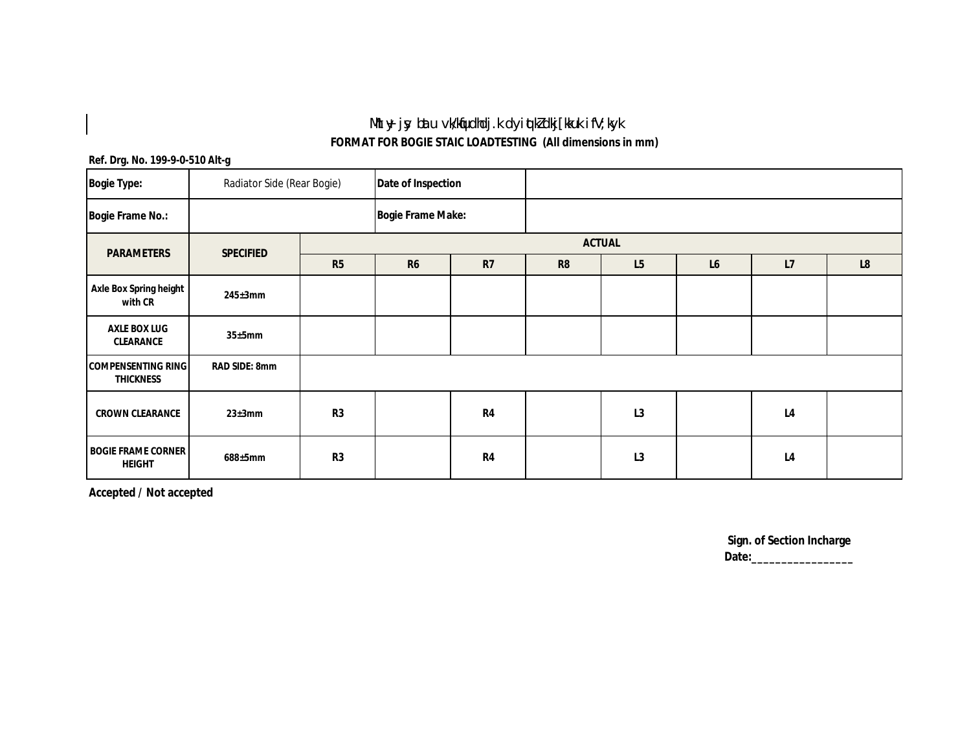## **Mhy jy bau vkKqrdkdj.k dyi qkZdkj[kuk i fV; kyk**

**FORMAT FOR BOGIE STAIC LOADTESTING (All dimensions in mm)**

#### **Ref. Drg. No. 199-9-0-510 Alt-g**

 $\begin{array}{c} \hline \end{array}$ 

| <b>Bogie Type:</b>                            | Radiator Side (Rear Bogie) |    | Date of Inspection       |                |                |    |    |                |    |  |
|-----------------------------------------------|----------------------------|----|--------------------------|----------------|----------------|----|----|----------------|----|--|
| <b>Bogie Frame No.:</b>                       |                            |    | <b>Bogie Frame Make:</b> |                |                |    |    |                |    |  |
| <b>PARAMETERS</b>                             | <b>SPECIFIED</b>           |    | <b>ACTUAL</b>            |                |                |    |    |                |    |  |
|                                               |                            | R5 | <b>R6</b>                | R7             | R <sub>8</sub> | L5 | L6 | L7             | L8 |  |
| Axle Box Spring height<br>with CR             | $245 \pm 3$ mm             |    |                          |                |                |    |    |                |    |  |
| <b>AXLE BOX LUG</b><br>CLEARANCE              | 35±5mm                     |    |                          |                |                |    |    |                |    |  |
| <b>COMPENSENTING RING</b><br><b>THICKNESS</b> | RAD SIDE: 8mm              |    |                          |                |                |    |    |                |    |  |
| <b>CROWN CLEARANCE</b>                        | $23 \pm 3$ mm              | R3 |                          | R <sub>4</sub> |                | L3 |    | L <sub>4</sub> |    |  |
| <b>BOGIE FRAME CORNER</b><br><b>HEIGHT</b>    | $688 \pm 5$ mm             | R3 |                          | R <sub>4</sub> |                | L3 |    | L <sub>4</sub> |    |  |

**Accepted / Not accepted**

**Sign. of Section Incharge Date:\_\_\_\_\_\_\_\_\_\_\_\_\_\_\_\_\_**